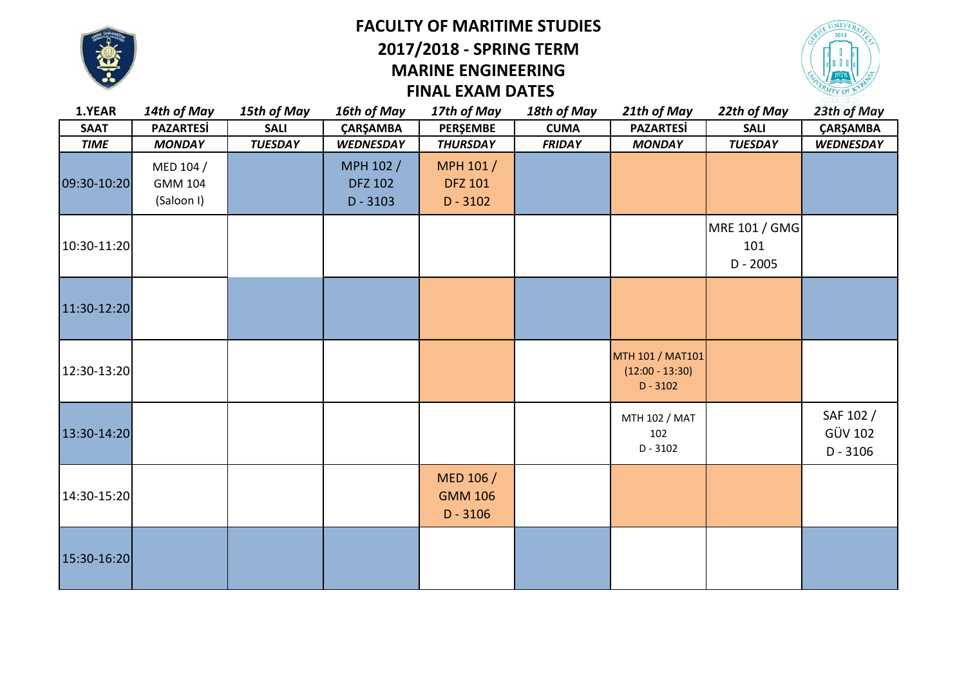

# **FACULTY OF MARITIME STUDIES FINAL EXAM DATES 2017/2018 - SPRING TERM MARINE ENGINEERING**



| 1.YEAR      | 14th of May                               | 15th of May    | 16th of May                               | 17th of May                               | 18th of May   | 21th of May                                         | 22th of May                        | 23th of May                               |
|-------------|-------------------------------------------|----------------|-------------------------------------------|-------------------------------------------|---------------|-----------------------------------------------------|------------------------------------|-------------------------------------------|
| <b>SAAT</b> | <b>PAZARTESİ</b>                          | <b>SALI</b>    | <b>ÇARŞAMBA</b>                           | <b>PERŞEMBE</b>                           | <b>CUMA</b>   | <b>PAZARTESİ</b>                                    | <b>SALI</b>                        | ÇARŞAMBA                                  |
| <b>TIME</b> | <b>MONDAY</b>                             | <b>TUESDAY</b> | <b>WEDNESDAY</b>                          | <b>THURSDAY</b>                           | <b>FRIDAY</b> | <b>MONDAY</b>                                       | <b>TUESDAY</b>                     | <b>WEDNESDAY</b>                          |
| 09:30-10:20 | MED 104 /<br><b>GMM 104</b><br>(Saloon I) |                | MPH 102 /<br><b>DFZ 102</b><br>$D - 3103$ | MPH 101 /<br><b>DFZ 101</b><br>$D - 3102$ |               |                                                     |                                    |                                           |
| 10:30-11:20 |                                           |                |                                           |                                           |               |                                                     | MRE 101 / GMG<br>101<br>$D - 2005$ |                                           |
| 11:30-12:20 |                                           |                |                                           |                                           |               |                                                     |                                    |                                           |
| 12:30-13:20 |                                           |                |                                           |                                           |               | MTH 101 / MAT101<br>$(12:00 - 13:30)$<br>$D - 3102$ |                                    |                                           |
| 13:30-14:20 |                                           |                |                                           |                                           |               | MTH 102 / MAT<br>102<br>$D - 3102$                  |                                    | SAF 102 /<br><b>GÜV 102</b><br>$D - 3106$ |
| 14:30-15:20 |                                           |                |                                           | MED 106 /<br><b>GMM 106</b><br>$D - 3106$ |               |                                                     |                                    |                                           |
| 15:30-16:20 |                                           |                |                                           |                                           |               |                                                     |                                    |                                           |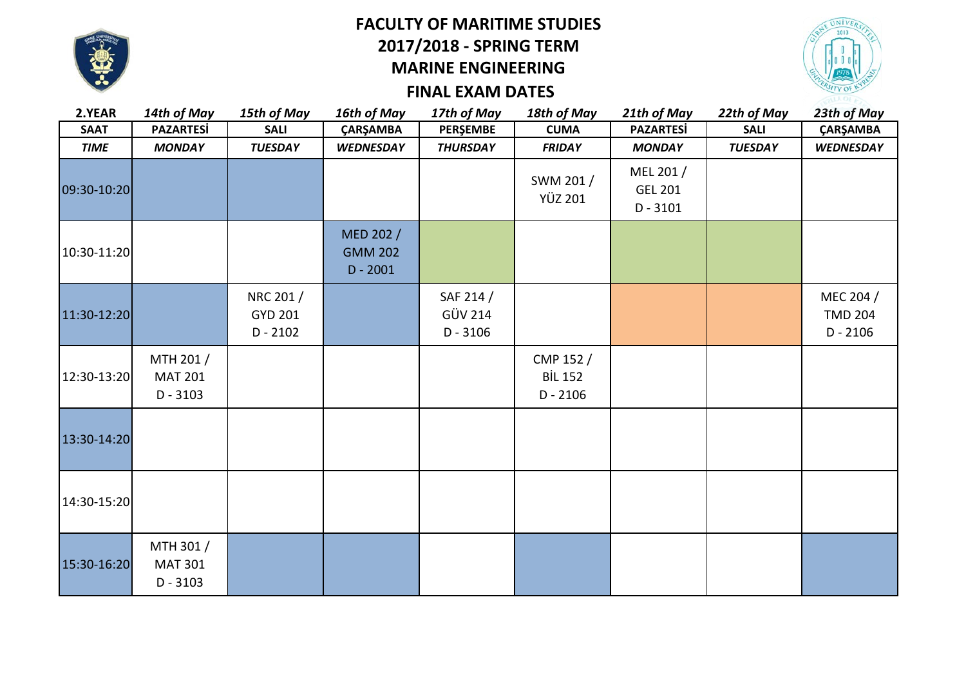

### **FACULTY OF MARITIME STUDIES 2017/2018 - SPRING TERM MARINE ENGINEERING**



## **FINAL EXAM DATES**

| 2.YEAR      | 14th of May                               | 15th of May                               | 16th of May                               | 17th of May                               | 18th of May                               | 21th of May                               | 22th of May    | 23th of May                               |
|-------------|-------------------------------------------|-------------------------------------------|-------------------------------------------|-------------------------------------------|-------------------------------------------|-------------------------------------------|----------------|-------------------------------------------|
| <b>SAAT</b> | <b>PAZARTESİ</b>                          | <b>SALI</b>                               | ÇARŞAMBA                                  | PERŞEMBE                                  | <b>CUMA</b>                               | <b>PAZARTESİ</b>                          | <b>SALI</b>    | ÇARŞAMBA                                  |
| <b>TIME</b> | <b>MONDAY</b>                             | <b>TUESDAY</b>                            | <b>WEDNESDAY</b>                          | <b>THURSDAY</b>                           | <b>FRIDAY</b>                             | <b>MONDAY</b>                             | <b>TUESDAY</b> | <b>WEDNESDAY</b>                          |
| 09:30-10:20 |                                           |                                           |                                           |                                           | SWM 201 /<br><b>YÜZ 201</b>               | MEL 201 /<br><b>GEL 201</b><br>$D - 3101$ |                |                                           |
| 10:30-11:20 |                                           |                                           | MED 202 /<br><b>GMM 202</b><br>$D - 2001$ |                                           |                                           |                                           |                |                                           |
| 11:30-12:20 |                                           | NRC 201 /<br><b>GYD 201</b><br>$D - 2102$ |                                           | SAF 214 /<br><b>GÜV 214</b><br>$D - 3106$ |                                           |                                           |                | MEC 204 /<br><b>TMD 204</b><br>$D - 2106$ |
| 12:30-13:20 | MTH 201 /<br><b>MAT 201</b><br>$D - 3103$ |                                           |                                           |                                           | CMP 152 /<br><b>BİL 152</b><br>$D - 2106$ |                                           |                |                                           |
| 13:30-14:20 |                                           |                                           |                                           |                                           |                                           |                                           |                |                                           |
| 14:30-15:20 |                                           |                                           |                                           |                                           |                                           |                                           |                |                                           |
| 15:30-16:20 | MTH 301 /<br><b>MAT 301</b><br>$D - 3103$ |                                           |                                           |                                           |                                           |                                           |                |                                           |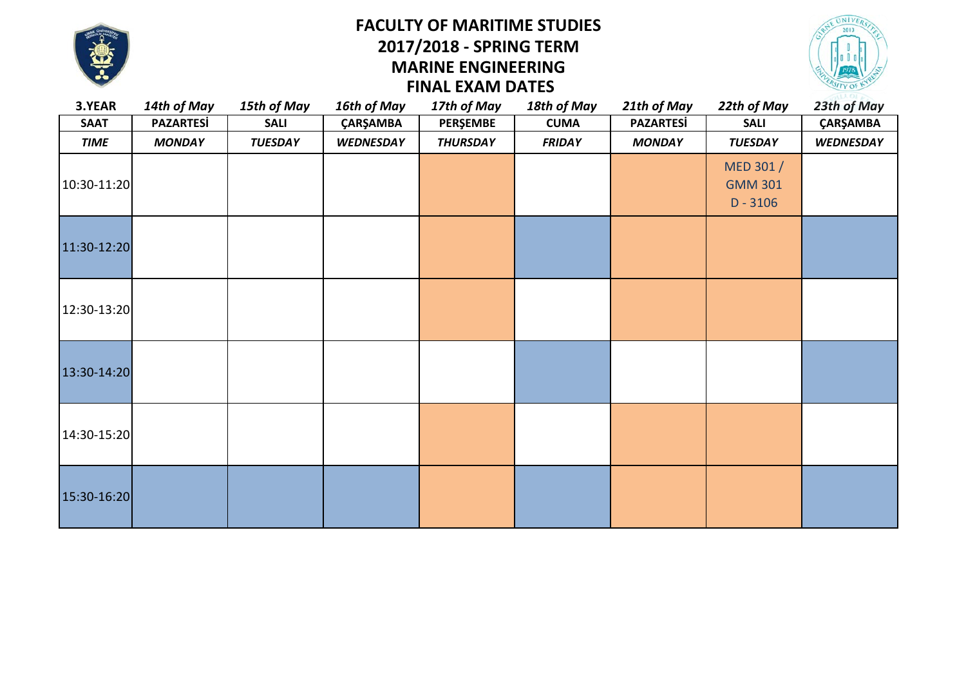

#### **MARINE ENGINEERING FACULTY OF MARITIME STUDIES 2017/2018 - SPRING TERM FINAL EXAM DATES**



| 3.YEAR      | 14th of May      | 15th of May    | 16th of May      | 17th of May     | 18th of May   | 21th of May      | 22th of May                 | 23th of May      |
|-------------|------------------|----------------|------------------|-----------------|---------------|------------------|-----------------------------|------------------|
| <b>SAAT</b> | <b>PAZARTESİ</b> | <b>SALI</b>    | ÇARŞAMBA         | PERŞEMBE        | <b>CUMA</b>   | <b>PAZARTESİ</b> | <b>SALI</b>                 | ÇARŞAMBA         |
| <b>TIME</b> | <b>MONDAY</b>    | <b>TUESDAY</b> | <b>WEDNESDAY</b> | <b>THURSDAY</b> | <b>FRIDAY</b> | <b>MONDAY</b>    | <b>TUESDAY</b>              | <b>WEDNESDAY</b> |
| 10:30-11:20 |                  |                |                  |                 |               |                  | MED 301 /<br><b>GMM 301</b> |                  |
|             |                  |                |                  |                 |               |                  | $D - 3106$                  |                  |
| 11:30-12:20 |                  |                |                  |                 |               |                  |                             |                  |
| 12:30-13:20 |                  |                |                  |                 |               |                  |                             |                  |
| 13:30-14:20 |                  |                |                  |                 |               |                  |                             |                  |
| 14:30-15:20 |                  |                |                  |                 |               |                  |                             |                  |
| 15:30-16:20 |                  |                |                  |                 |               |                  |                             |                  |